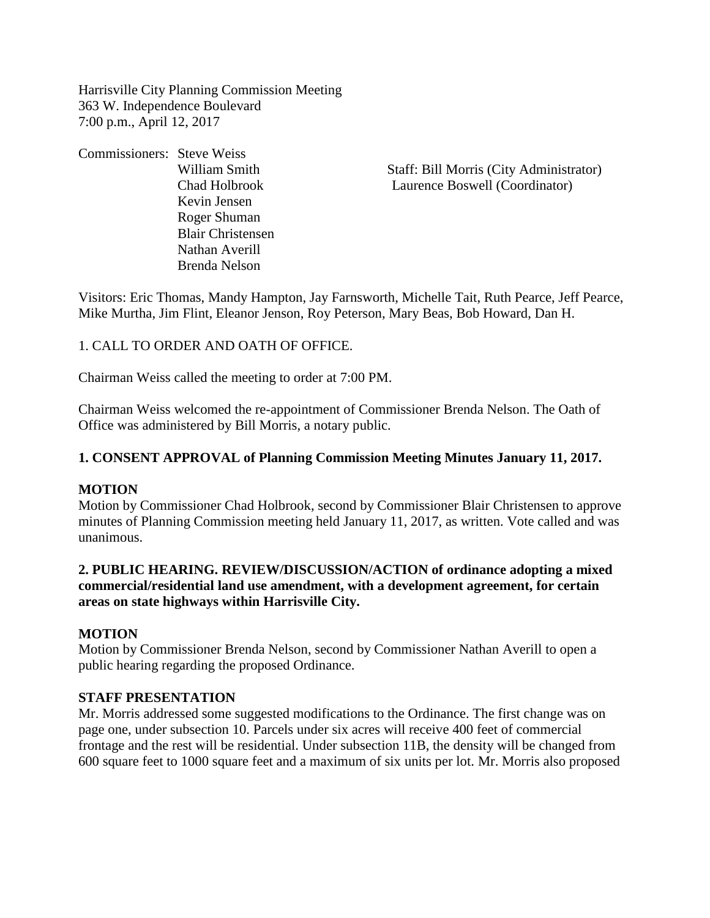Harrisville City Planning Commission Meeting 363 W. Independence Boulevard 7:00 p.m., April 12, 2017

Commissioners: Steve Weiss Kevin Jensen Roger Shuman Blair Christensen Nathan Averill Brenda Nelson

William Smith Staff: Bill Morris (City Administrator) Chad Holbrook Laurence Boswell (Coordinator)

Visitors: Eric Thomas, Mandy Hampton, Jay Farnsworth, Michelle Tait, Ruth Pearce, Jeff Pearce, Mike Murtha, Jim Flint, Eleanor Jenson, Roy Peterson, Mary Beas, Bob Howard, Dan H.

## 1. CALL TO ORDER AND OATH OF OFFICE.

Chairman Weiss called the meeting to order at 7:00 PM.

Chairman Weiss welcomed the re-appointment of Commissioner Brenda Nelson. The Oath of Office was administered by Bill Morris, a notary public.

#### **1. CONSENT APPROVAL of Planning Commission Meeting Minutes January 11, 2017.**

#### **MOTION**

Motion by Commissioner Chad Holbrook, second by Commissioner Blair Christensen to approve minutes of Planning Commission meeting held January 11, 2017, as written. Vote called and was unanimous.

## **2. PUBLIC HEARING. REVIEW/DISCUSSION/ACTION of ordinance adopting a mixed commercial/residential land use amendment, with a development agreement, for certain areas on state highways within Harrisville City.**

## **MOTION**

Motion by Commissioner Brenda Nelson, second by Commissioner Nathan Averill to open a public hearing regarding the proposed Ordinance.

#### **STAFF PRESENTATION**

Mr. Morris addressed some suggested modifications to the Ordinance. The first change was on page one, under subsection 10. Parcels under six acres will receive 400 feet of commercial frontage and the rest will be residential. Under subsection 11B, the density will be changed from 600 square feet to 1000 square feet and a maximum of six units per lot. Mr. Morris also proposed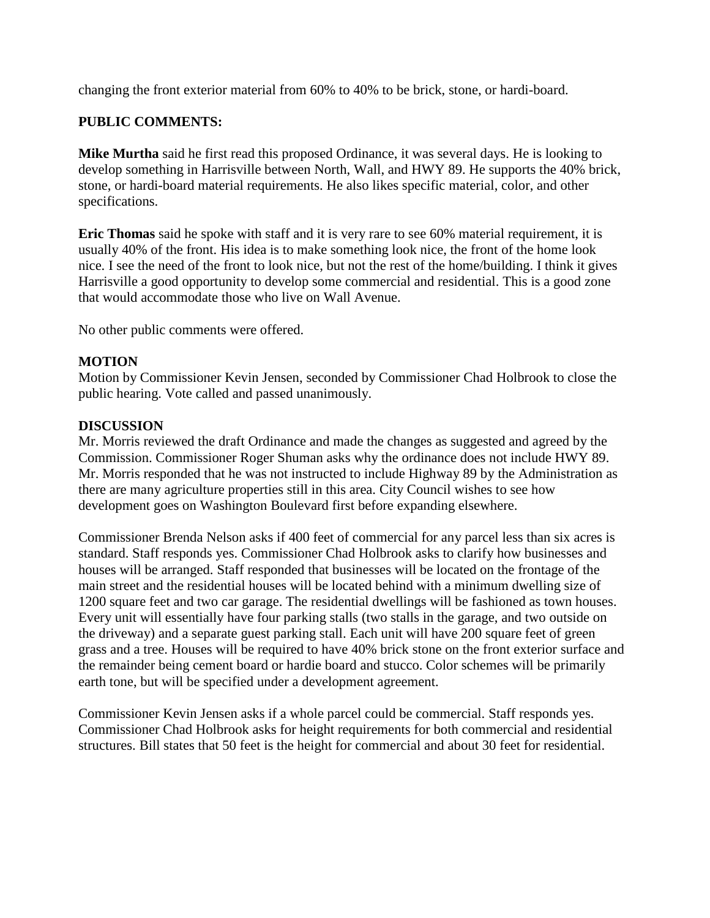changing the front exterior material from 60% to 40% to be brick, stone, or hardi-board.

# **PUBLIC COMMENTS:**

**Mike Murtha** said he first read this proposed Ordinance, it was several days. He is looking to develop something in Harrisville between North, Wall, and HWY 89. He supports the 40% brick, stone, or hardi-board material requirements. He also likes specific material, color, and other specifications.

**Eric Thomas** said he spoke with staff and it is very rare to see 60% material requirement, it is usually 40% of the front. His idea is to make something look nice, the front of the home look nice. I see the need of the front to look nice, but not the rest of the home/building. I think it gives Harrisville a good opportunity to develop some commercial and residential. This is a good zone that would accommodate those who live on Wall Avenue.

No other public comments were offered.

## **MOTION**

Motion by Commissioner Kevin Jensen, seconded by Commissioner Chad Holbrook to close the public hearing. Vote called and passed unanimously.

## **DISCUSSION**

Mr. Morris reviewed the draft Ordinance and made the changes as suggested and agreed by the Commission. Commissioner Roger Shuman asks why the ordinance does not include HWY 89. Mr. Morris responded that he was not instructed to include Highway 89 by the Administration as there are many agriculture properties still in this area. City Council wishes to see how development goes on Washington Boulevard first before expanding elsewhere.

Commissioner Brenda Nelson asks if 400 feet of commercial for any parcel less than six acres is standard. Staff responds yes. Commissioner Chad Holbrook asks to clarify how businesses and houses will be arranged. Staff responded that businesses will be located on the frontage of the main street and the residential houses will be located behind with a minimum dwelling size of 1200 square feet and two car garage. The residential dwellings will be fashioned as town houses. Every unit will essentially have four parking stalls (two stalls in the garage, and two outside on the driveway) and a separate guest parking stall. Each unit will have 200 square feet of green grass and a tree. Houses will be required to have 40% brick stone on the front exterior surface and the remainder being cement board or hardie board and stucco. Color schemes will be primarily earth tone, but will be specified under a development agreement.

Commissioner Kevin Jensen asks if a whole parcel could be commercial. Staff responds yes. Commissioner Chad Holbrook asks for height requirements for both commercial and residential structures. Bill states that 50 feet is the height for commercial and about 30 feet for residential.